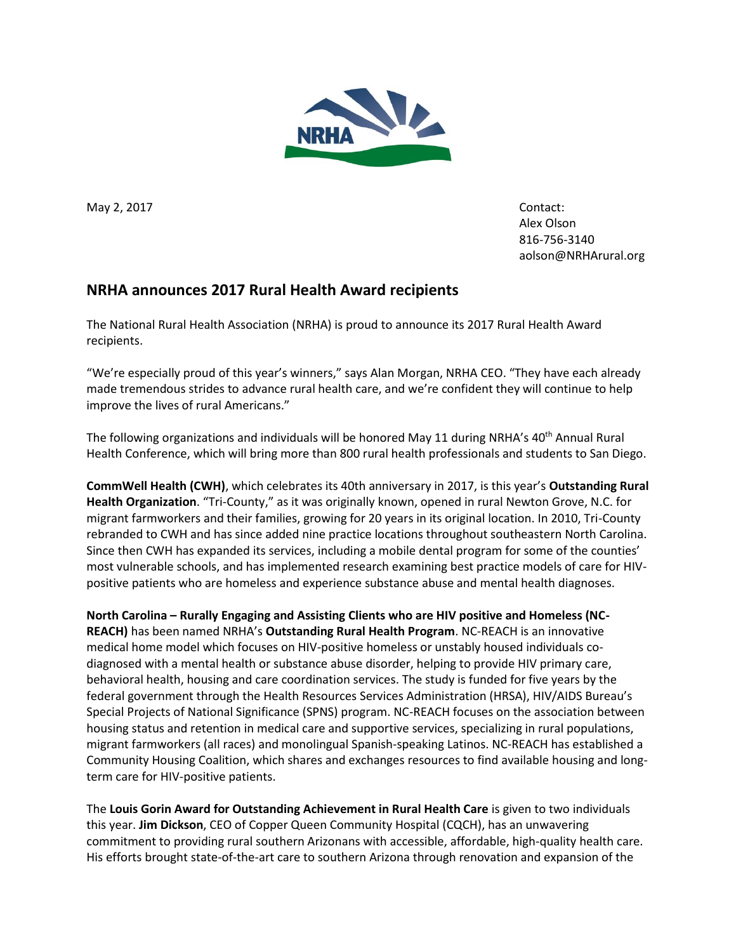

May 2, 2017 **Contact:** 

Alex Olson 816-756-3140 [aolson@NRHArural.org](mailto:olson@NRHArural.org)

## **NRHA announces 2017 Rural Health Award recipients**

The National Rural Health Association (NRHA) is proud to announce its 2017 Rural Health Award recipients.

"We're especially proud of this year's winners," says Alan Morgan, NRHA CEO. "They have each already made tremendous strides to advance rural health care, and we're confident they will continue to help improve the lives of rural Americans."

The following organizations and individuals will be honored May 11 during NRHA's 40<sup>th</sup> Annual Rural Health Conference, which will bring more than 800 rural health professionals and students to San Diego.

**CommWell Health (CWH)**, which celebrates its 40th anniversary in 2017, is this year's **Outstanding Rural Health Organization**. "Tri-County," as it was originally known, opened in rural Newton Grove, N.C. for migrant farmworkers and their families, growing for 20 years in its original location. In 2010, Tri-County rebranded to CWH and has since added nine practice locations throughout southeastern North Carolina. Since then CWH has expanded its services, including a mobile dental program for some of the counties' most vulnerable schools, and has implemented research examining best practice models of care for HIVpositive patients who are homeless and experience substance abuse and mental health diagnoses.

**North Carolina – Rurally Engaging and Assisting Clients who are HIV positive and Homeless (NC-REACH)** has been named NRHA's **Outstanding Rural Health Program**. NC-REACH is an innovative medical home model which focuses on HIV-positive homeless or unstably housed individuals codiagnosed with a mental health or substance abuse disorder, helping to provide HIV primary care, behavioral health, housing and care coordination services. The study is funded for five years by the federal government through the Health Resources Services Administration (HRSA), HIV/AIDS Bureau's Special Projects of National Significance (SPNS) program. NC-REACH focuses on the association between housing status and retention in medical care and supportive services, specializing in rural populations, migrant farmworkers (all races) and monolingual Spanish-speaking Latinos. NC-REACH has established a Community Housing Coalition, which shares and exchanges resources to find available housing and longterm care for HIV-positive patients.

The **Louis Gorin Award for Outstanding Achievement in Rural Health Care** is given to two individuals this year. **Jim Dickson**, CEO of Copper Queen Community Hospital (CQCH), has an unwavering commitment to providing rural southern Arizonans with accessible, affordable, high-quality health care. His efforts brought state-of-the-art care to southern Arizona through renovation and expansion of the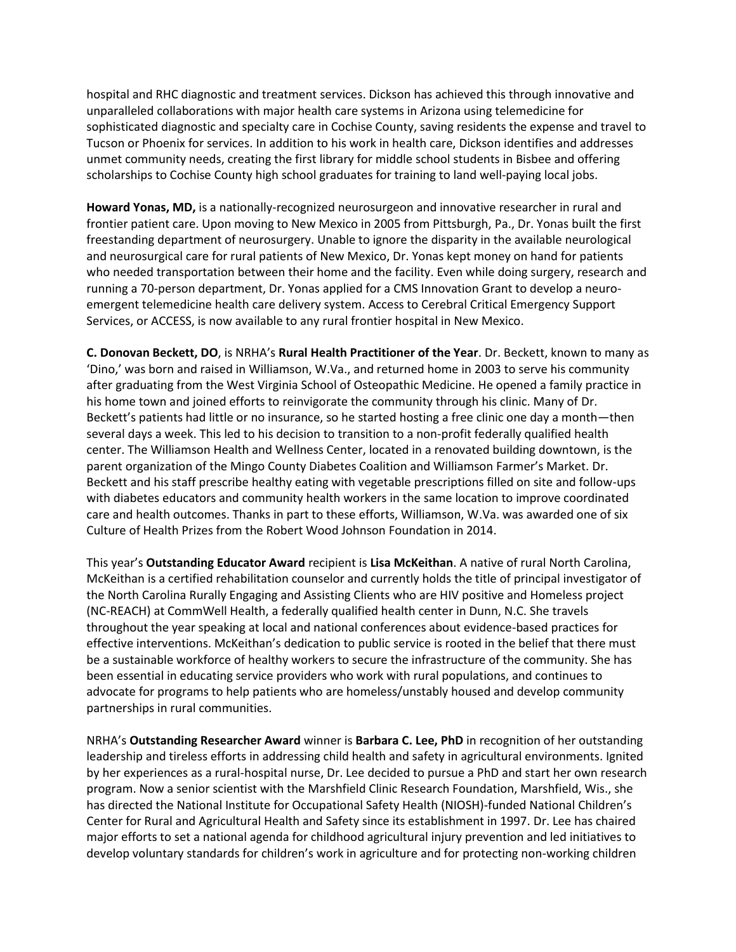hospital and RHC diagnostic and treatment services. Dickson has achieved this through innovative and unparalleled collaborations with major health care systems in Arizona using telemedicine for sophisticated diagnostic and specialty care in Cochise County, saving residents the expense and travel to Tucson or Phoenix for services. In addition to his work in health care, Dickson identifies and addresses unmet community needs, creating the first library for middle school students in Bisbee and offering scholarships to Cochise County high school graduates for training to land well-paying local jobs.

**Howard Yonas, MD,** is a nationally-recognized neurosurgeon and innovative researcher in rural and frontier patient care. Upon moving to New Mexico in 2005 from Pittsburgh, Pa., Dr. Yonas built the first freestanding department of neurosurgery. Unable to ignore the disparity in the available neurological and neurosurgical care for rural patients of New Mexico, Dr. Yonas kept money on hand for patients who needed transportation between their home and the facility. Even while doing surgery, research and running a 70-person department, Dr. Yonas applied for a CMS Innovation Grant to develop a neuroemergent telemedicine health care delivery system. Access to Cerebral Critical Emergency Support Services, or ACCESS, is now available to any rural frontier hospital in New Mexico.

**C. Donovan Beckett, DO**, is NRHA's **Rural Health Practitioner of the Year**. Dr. Beckett, known to many as 'Dino,' was born and raised in Williamson, W.Va., and returned home in 2003 to serve his community after graduating from the West Virginia School of Osteopathic Medicine. He opened a family practice in his home town and joined efforts to reinvigorate the community through his clinic. Many of Dr. Beckett's patients had little or no insurance, so he started hosting a free clinic one day a month—then several days a week. This led to his decision to transition to a non-profit federally qualified health center. The Williamson Health and Wellness Center, located in a renovated building downtown, is the parent organization of the Mingo County Diabetes Coalition and Williamson Farmer's Market. Dr. Beckett and his staff prescribe healthy eating with vegetable prescriptions filled on site and follow-ups with diabetes educators and community health workers in the same location to improve coordinated care and health outcomes. Thanks in part to these efforts, Williamson, W.Va. was awarded one of six Culture of Health Prizes from the Robert Wood Johnson Foundation in 2014.

This year's **Outstanding Educator Award** recipient is **Lisa McKeithan**. A native of rural North Carolina, McKeithan is a certified rehabilitation counselor and currently holds the title of principal investigator of the North Carolina Rurally Engaging and Assisting Clients who are HIV positive and Homeless project (NC-REACH) at CommWell Health, a federally qualified health center in Dunn, N.C. She travels throughout the year speaking at local and national conferences about evidence-based practices for effective interventions. McKeithan's dedication to public service is rooted in the belief that there must be a sustainable workforce of healthy workers to secure the infrastructure of the community. She has been essential in educating service providers who work with rural populations, and continues to advocate for programs to help patients who are homeless/unstably housed and develop community partnerships in rural communities.

NRHA's **Outstanding Researcher Award** winner is **Barbara C. Lee, PhD** in recognition of her outstanding leadership and tireless efforts in addressing child health and safety in agricultural environments. Ignited by her experiences as a rural-hospital nurse, Dr. Lee decided to pursue a PhD and start her own research program. Now a senior scientist with the Marshfield Clinic Research Foundation, Marshfield, Wis., she has directed the National Institute for Occupational Safety Health (NIOSH)-funded National Children's Center for Rural and Agricultural Health and Safety since its establishment in 1997. Dr. Lee has chaired major efforts to set a national agenda for childhood agricultural injury prevention and led initiatives to develop voluntary standards for children's work in agriculture and for protecting non-working children